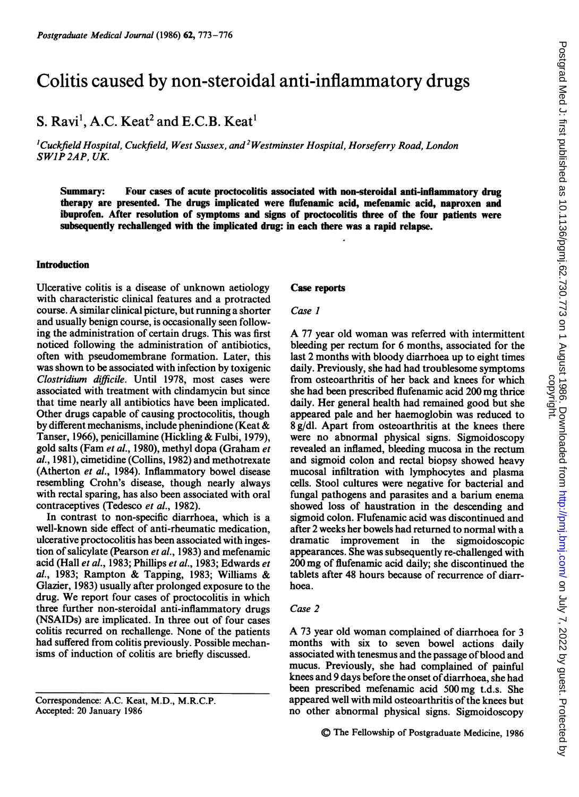# Colitis caused by non-steroidal anti-inflammatory drugs

## S. Ravi<sup>1</sup>, A.C. Keat<sup>2</sup> and E.C.B. Keat<sup>1</sup>

 $^{1}$ Cuckfield Hospital, Cuckfield, West Sussex, and  $^{2}$ Westminster Hospital, Horseferry Road, London SWIP2AP, UK.

Summary: Four cases of acute proctocolitis associated with non-steroidal anti-inflammatory drug therapy are presented. The drugs implicated were flufenamic acid, mefenamic acid, naproxen and ibuprofen. After resolution of symptoms and signs of proctocolitis three of the four patients were subsequently rechallenged with the implicated drug: in each there was a rapid relapse.

#### **Introduction**

Ulcerative colitis is a disease of unknown aetiology with characteristic clinical features and a protracted course. A similar clinical picture, but running <sup>a</sup> shorter and usually benign course, is occasionally seen following the administration of certain drugs. This was first noticed following the administration of antibiotics, often with pseudomembrane formation. Later, this was shown to be associated with infection by toxigenic Clostridium difficile. Until 1978, most cases were associated with treatment with clindamycin but since that time nearly all antibiotics have been implicated. Other drugs capable of causing proctocolitis, though by different mechanisms, include phenindione (Keat & Tanser, 1966), penicillamine (Hickling & Fulbi, 1979), gold salts (Fam et al., 1980), methyl dopa (Graham et al., 1981), cimetidine (Collins, 1982) and methotrexate (Atherton et al., 1984). Inflammatory bowel disease resembling Crohn's disease, though nearly always with rectal sparing, has also been associated with oral contraceptives (Tedesco et al., 1982).

In contrast to non-specific diarrhoea, which is a well-known side effect of anti-rheumatic medication, ulcerative proctocolitis has been associated with ingestion of salicylate (Pearson et al., 1983) and mefenamic acid (Hall et al., 1983; Phillips et al., 1983; Edwards et al., 1983; Rampton & Tapping, 1983; Williams & Glazier, 1983) usually after prolonged exposure to the drug. We report four cases of proctocolitis in which three further non-steroidal anti-inflammatory drugs (NSAIDs) are implicated. In three out of four cases colitis recurred on rechallenge. None of the patients had suffered from colitis previously. Possible mechanisms of induction of colitis are briefly discussed.

#### Case reports

#### Case I

A <sup>77</sup> year old woman was referred with intermittent bleeding per rectum for 6 months, associated for the last 2 months with bloody diarrhoea up to eight times daily. Previously, she had had troublesome symptoms from osteoarthritis of her back and knees for which she had been prescribed flufenamic acid 200 mg thrice daily. Her general health had remained good but she appeared pale and her haemoglobin was reduced to 8 g/dl. Apart from osteoarthritis at the knees there were no abnormal physical signs. Sigmoidoscopy revealed an inflamed, bleeding mucosa in the rectum and sigmoid colon and rectal biopsy showed heavy mucosal infiltration with lymphocytes and plasma cells. Stool cultures were negative for bacterial and fungal pathogens and parasites and a barium enema showed loss of haustration in the descending and sigmoid colon. Flufenamic acid was discontinued and after 2 weeks her bowels had returned to normal with a dramatic improvement in the sigmoidoscopic appearances. She was subsequently re-challenged with 200 mg of flufenamic acid daily; she discontinued the tablets after 48 hours because of recurrence of diarrhoea.

## Case 2

A <sup>73</sup> year old woman complained of diarrhoea for <sup>3</sup> months with six to seven bowel actions daily associated with tenesmus and the passage of blood and mucus. Previously, she had complained of painful knees and 9 days before the onset of diarrhoea, she had been prescribed mefenamic acid 500mg t.d.s. She appeared well with mild osteoarthritis of the knees but no other abnormal physical signs. Sigmoidoscopy

Correspondence: A.C. Keat, M.D., M.R.C.P. Accepted: 20 January 1986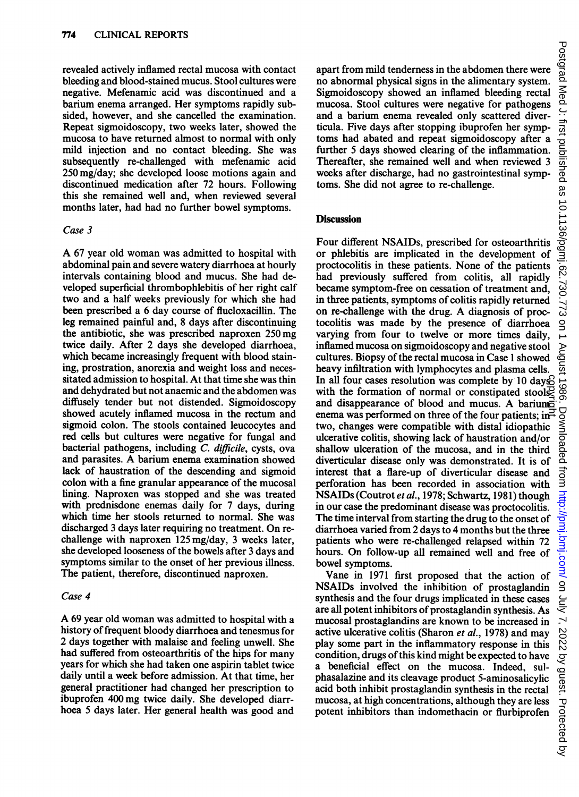revealed actively inflamed rectal mucosa with contact bleeding and blood-stained mucus. Stool cultures were negative. Mefenamic acid was discontinued and a barium enema arranged. Her symptoms rapidly subsided, however, and she cancelled the examination. Repeat sigmoidoscopy, two weeks later, showed the mucosa to have returned almost to normal with only mild injection and no contact bleeding. She was subsequently re-challenged with mefenamic acid 250 mg/day; she developed loose motions again and discontinued medication after 72 hours. Following this she remained well and, when reviewed several months later, had had no further bowel symptoms.

### Case 3

A <sup>67</sup> year old woman was admitted to hospital with abdominal pain and severe watery diarrhoea at hourly intervals containing blood and mucus. She had developed superficial thrombophlebitis of her right calf two and a half weeks previously for which she had been prescribed a 6 day course of flucloxacillin. The leg remained painful and, <sup>8</sup> days after discontinuing the antibiotic, she was prescribed naproxen 250mg twice daily. After 2 days she developed diarrhoea, which became increasingly frequent with blood staining, prostration, anorexia and weight loss and necessitated admission to hospital. At that time she was thin and dehydrated but not anaemic and the abdomen was diffusely tender but not distended. Sigmoidoscopy showed acutely inflamed mucosa in the rectum and sigmoid colon. The stools contained leucocytes and red cells but cultures were negative for fungal and bacterial pathogens, including C. difficile, cysts, ova and parasites. A barium enema examination showed lack of haustration of the descending and sigmoid colon with a fine granular appearance of the mucosal lining. Naproxen was stopped and she was treated with prednisdone enemas daily for <sup>7</sup> days, during which time her stools returned to normal. She was discharged <sup>3</sup> days later requiring no treatment. On rechallenge with naproxen 125 mg/day, <sup>3</sup> weeks later, she developed looseness of the bowels after <sup>3</sup> days and symptoms similar to the onset of her previous illness. The patient, therefore, discontinued naproxen.

#### Case 4

A <sup>69</sup> year old woman was admitted to hospital with <sup>a</sup> history of frequent bloody diarrhoea and tenesmus for 2 days together with malaise and feeling unwell. She had suffered from osteoarthritis of the hips for many years for which she had taken one aspirin tablet twice daily until a week before admission. At that time, her general practitioner had changed her prescription to ibuprofen 400mg twice daily. She developed diarrhoea <sup>5</sup> days later. Her general health was good and

apart from mild tenderness in the abdomen there were no abnormal physical signs in the alimentary system. Sigmoidoscopy showed an inflamed bleeding rectal mucosa. Stool cultures were negative for pathogens and a barium enema revealed only scattered diverticula. Five days after stopping ibuprofen her symptoms had abated and repeat sigmoidoscopy after a further <sup>5</sup> days showed clearing of the inflammation. Thereafter, she remained well and when reviewed 3 weeks after discharge, had no gastrointestinal symptoms. She did not agree to re-challenge.

### **Discussion**

Four different NSAIDs, prescribed for osteoarthritis or phlebitis are implicated in the development of proctocolitis in these patients. None of the patients had previously suffered from colitis, all rapidly became symptom-free on cessation of treatment and, in three patients, symptoms of colitis rapidly returned on re-challenge with the drug. A diagnosis of proctocolitis was made by the presence of diarrhoea varying from four to twelve or more times daily, inflamed mucosa on sigmoidoscopy and negative stool cultures. Biopsy of the rectal mucosa in Case 1 showed heavy infiltration with lymphocytes and plasma cells. In all four cases resolution was complete by 10 days<sup>2</sup> with the formation of normal or constipated stools and disappearance of blood and mucus. A barium enema was performed on three of the four patients; in $\overrightarrow{H}$ two, changes were compatible with distal idiopathic ulcerative colitis, showing lack of haustration and/or shallow ulceration of the mucosa, and in the third diverticular disease only was demonstrated. It is of interest that a flare-up of diverticular disease and perforation has been recorded in association with NSAIDs (Coutrot et al., 1978; Schwartz, 1981) though in our case the predominant disease was proctocolitis. The time interval from starting the drug to the onset of diarrhoea varied from 2 days to 4 months but the three patients who were re-challenged relapsed within <sup>72</sup> hours. On follow-up all remained well and free of bowel symptoms. In all four cases resolution was complete by 10 days<br>so with the formation of normal or constipated stools<br>2 and disappearance of blood and mucus. A bariume-<br>enema was performed on three of the four patients; in-<br>two, cha

Vane in <sup>1971</sup> first proposed that the action of NSAIDs involved the inhibition of prostaglandin synthesis and the four drugs implicated in these cases are all potent inhibitors of prostaglandin synthesis. As mucosal prostaglandins are known to be increased in active ulcerative colitis (Sharon et al., 1978) and may play some part in the inflammatory response in this condition, drugs of this kind might be expected to have a beneficial effect on the mucosa. Indeed, sulphasalazine and its cleavage product 5-aminosalicylic acid both inhibit prostaglandin synthesis in the rectal mucosa, at high concentrations, although they are less<br>potent inhibitors than indomethacin or flurbiprofen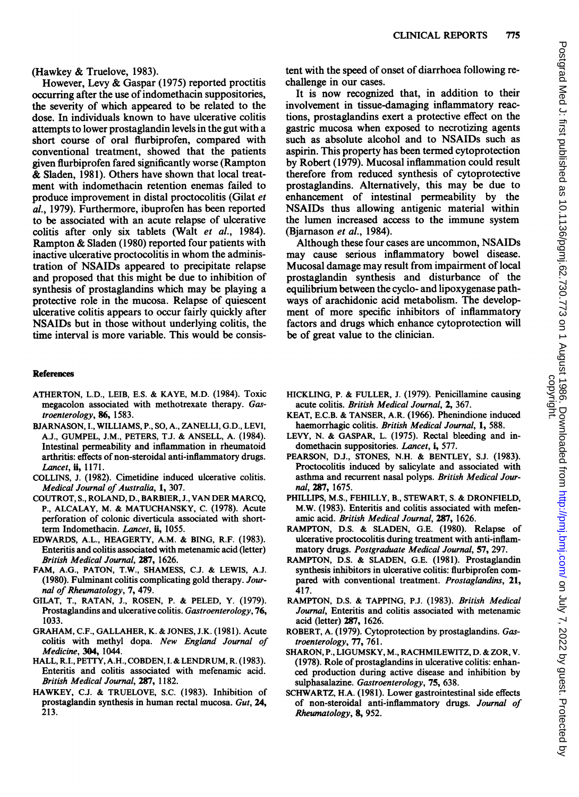However, Levy & Gaspar (1975) reported proctitis occurring after the use of indomethacin suppositories, the severity of which appeared to be related to the dose. In individuals known to have ulcerative colitis attempts to lower prostaglandin levels in the gut with a short course of oral flurbiprofen, compared with conventional treatment, showed that the patients given flurbiprofen fared significantly worse (Rampton & Sladen, 1981). Others have shown that local treatment with indomethacin retention enemas failed to produce improvement in distal proctocolitis (Gilat et al., 1979). Furthermore, ibuprofen has been reported to be associated with an acute relapse of ulcerative colitis after only six tablets (Walt et al., 1984). Rampton & Sladen (1980) reported four patients with inactive ulcerative proctocolitis in whom the administration of NSAIDs appeared to precipitate relapse and proposed that this might be due to inhibition of synthesis of prostaglandins which may be playing a protective role in the mucosa. Relapse of quiescent ulcerative colitis appears to occur fairly quickly after NSAIDs but in those without underlying colitis, the time interval is more variable. This would be consis-

#### References

- ATHERTON, L.D., LEIB, E.S. & KAYE, M.D. (1984). Toxic megacolon associated with methotrexate therapy. Gastroenterology, 86, 1583.
- BJARNASON, I., WILLIAMS, P., SO, A., ZANELLI, G.D., LEVI, A.J., GUMPEL, J.M., PETERS, T.J. & ANSELL, A. (1984). Intestinal permeability and inflammation in rheumatoid arthritis: effects of non-steroidal anti-inflammatory drugs. Lancet, ii, 1171.
- COLLINS, J. (1982). Cimetidine induced ulcerative colitis. Medical Journal of Australia, 1, 307.
- COUTROT, S., ROLAND, D., BARBIER, J., VAN DER MARCQ, P., ALCALAY, M. & MATUCHANSKY, C. (1978). Acute perforation of colonic diverticula associated with shortterm Indomethacin. Lancet, ii, 1055.
- EDWARDS, A.L., HEAGERTY, A.M. & BING, R.F. (1983). Enteritis and colitis associated with metenamic acid (letter) British Medical Journal, 287, 1626.
- FAM, A.G., PATON, T.W., SHAMESS, C.J. & LEWIS, A.J. (1980). Fulminant colitis complicating gold therapy. Journal of Rheumatology, 7, 479.
- GILAT, T., RATAN, J., ROSEN, P. & PELED, Y. (1979). Prostaglandins and ulcerative colitis. Gastroenterology, 76, 1033.
- GRAHAM, C.F., GALLAHER, K. & JONES, J.K. (1981). Acute colitis with methyl dopa. New England Journal of Medicine, 304, 1044.
- HALL, R.I., PETTY, A.H., COBDEN, I. & LENDRUM, R. (1983). Enteritis and colitis associated with mefenamic acid. British Medical Journal, 287, 1182.
- HAWKEY, C.J. & TRUELOVE, S.C. (1983). Inhibition of prostaglandin synthesis in human rectal mucosa. Gut, 24, 213.

tent with the speed of onset of diarrhoea following rechallenge in our cases.

It is now recognized that, in addition to their involvement in tissue-damaging inflammatory reactions, prostaglandins exert a protective effect on the gastric mucosa when exposed to necrotizing agents such as absolute alcohol and to NSAIDs such as aspirin. This property has been termed cytoprotection by Robert (1979). Mucosal inflammation could result therefore from reduced synthesis of cytoprotective prostaglandins. Alternatively, this may be due to enhancement of intestinal permeability by the NSAIDs thus allowing antigenic material within the lumen increased access to the immune system (Bjarnason et al., 1984).

Although these four cases are uncommon, NSAIDs may cause serious inflammatory bowel disease. Mucosal damage may result from impairment of local prostaglandin synthesis and disturbance of the equilibrium between the cyclo- and lipoxygenase pathways of arachidonic acid metabolism. The development of more specific inhibitors of inflammatory factors and drugs which enhance cytoprotection will be of great value to the clinician.

- HICKLING, P. & FULLER, J. (1979). Penicillamine causing acute colitis. British Medical Journal, 2, 367.
- KEAT, E.C.B. & TANSER, A.R. (1966). Phenindione induced haemorrhagic colitis. British Medical Journal, 1, 588.
- LEVY, N. & GASPAR, L. (1975). Rectal bleeding and indomethacin suppositories. Lancet, i, 577.
- PEARSON, D.J., STONES, N.H. & BENTLEY, S.J. (1983). Proctocolitis induced by salicylate and associated with asthma and recurrent nasal polyps. British Medical Journal, 287, 1675.
- PHILLIPS, M.S., FEHILLY, B., STEWART, S. & DRONFIELD, M.W. (1983). Enteritis and colitis associated with mefenamic acid. British Medical Journal, 287, 1626.
- RAMPTON, D.S. & SLADEN, G.E. (1980). Relapse of ulcerative proctocolitis during treatment with anti-inflammatory drugs. Postgraduate Medical Journal, 57, 297.
- RAMPTON, D.S. & SLADEN, G.E. (1981). Prostaglandin synthesis inhibitors in ulcerative colitis: flurbiprofen compared with conventional treatment. Prostaglandins, 21, 417.
- RAMPTON, D.S. & TAPPING, P.J. (1983). British Medical Journal, Enteritis and colitis associated with metenamic acid (letter) 287, 1626.
- ROBERT, A. (1979). Cytoprotection by prostaglandins. Gastroenterology, 77, 761.
- SHARON, P., LIGUMSKY, M., RACHMILEWITZ, D. & ZOR, V. (1978). Role of prostaglandins in ulcerative colitis: enhanced production during active disease and inhibition by sulphasalazine. Gastroenterology, 75, 638.
- SCHWARTZ, H.A. (1981). Lower gastrointestinal side effects of non-steroidal anti-inflammatory drugs. Journal of Rheumatology, 8, 952.